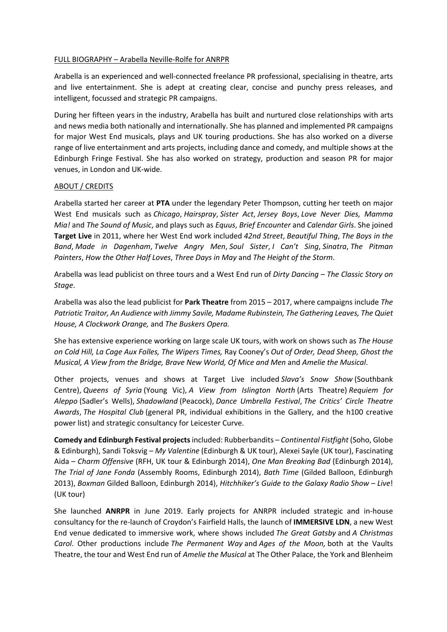## FULL BIOGRAPHY – Arabella Neville-Rolfe for ANRPR

Arabella is an experienced and well-connected freelance PR professional, specialising in theatre, arts and live entertainment. She is adept at creating clear, concise and punchy press releases, and intelligent, focussed and strategic PR campaigns.

During her fifteen years in the industry, Arabella has built and nurtured close relationships with arts and news media both nationally and internationally. She has planned and implemented PR campaigns for major West End musicals, plays and UK touring productions. She has also worked on a diverse range of live entertainment and arts projects, including dance and comedy, and multiple shows at the Edinburgh Fringe Festival. She has also worked on strategy, production and season PR for major venues, in London and UK-wide.

## ABOUT / CREDITS

Arabella started her career at **PTA** under the legendary Peter Thompson, cutting her teeth on major West End musicals such as *Chicago*, *Hairspray*, *Sister Act*, *Jersey Boys*, *Love Never Dies, Mamma Mia!* and *The Sound of Music*, and plays such as *Equus*, *Brief Encounter* and *Calendar Girls*. She joined **Target Live** in 2011, where her West End work included *42nd Street*, *Beautiful Thing*, *The Boys in the Band*, *Made in Dagenham*, *Twelve Angry Men*, *Soul Sister*, *I Can't Sing*, *Sinatra*, *The Pitman Painters*, *How the Other Half Loves*, *Three Days in May* and *The Height of the Storm*.

Arabella was lead publicist on three tours and a West End run of *Dirty Dancing – The Classic Story on Stage*.

Arabella was also the lead publicist for **Park Theatre** from 2015 – 2017, where campaigns include *The Patriotic Traitor, An Audience with Jimmy Savile, Madame Rubinstein, The Gathering Leaves, The Quiet House, A Clockwork Orange,* and *The Buskers Opera.*

She has extensive experience working on large scale UK tours, with work on shows such as *The House on Cold Hill, La Cage Aux Folles, The Wipers Times,* Ray Cooney's *Out of Order, Dead Sheep, Ghost the Musical, A View from the Bridge, Brave New World, Of Mice and Men* and *Amelie the Musical*.

Other projects, venues and shows at Target Live included *Slava's Snow Show* (Southbank Centre), *Queens of Syria* (Young Vic), *A View from Islington North* (Arts Theatre) *Requiem for Aleppo* (Sadler's Wells), *Shadowland* (Peacock), *Dance Umbrella Festival*, *The Critics' Circle Theatre Awards*, *The Hospital Club* (general PR, individual exhibitions in the Gallery, and the h100 creative power list) and strategic consultancy for Leicester Curve.

**Comedy and Edinburgh Festival projects**included: Rubberbandits – *Continental Fistfight* (Soho, Globe & Edinburgh), Sandi Toksvig – *My Valentine* (Edinburgh & UK tour), Alexei Sayle (UK tour), Fascinating Aida – *Charm Offensive* (RFH, UK tour & Edinburgh 2014), *One Man Breaking Bad* (Edinburgh 2014), *The Trial of Jane Fonda* (Assembly Rooms, Edinburgh 2014), *Bath Time* (Gilded Balloon, Edinburgh 2013), *Boxman* Gilded Balloon, Edinburgh 2014), *Hitchhiker's Guide to the Galaxy Radio Show – Live*! (UK tour)

She launched **ANRPR** in June 2019. Early projects for ANRPR included strategic and in-house consultancy for the re-launch of Croydon's Fairfield Halls, the launch of **IMMERSIVE LDN**, a new West End venue dedicated to immersive work, where shows included *The Great Gatsby* and *A Christmas Carol*. Other productions include *The Permanent Way* and *Ages of the Moon,* both at the Vaults Theatre, the tour and West End run of *Amelie the Musical* at The Other Palace, the York and Blenheim